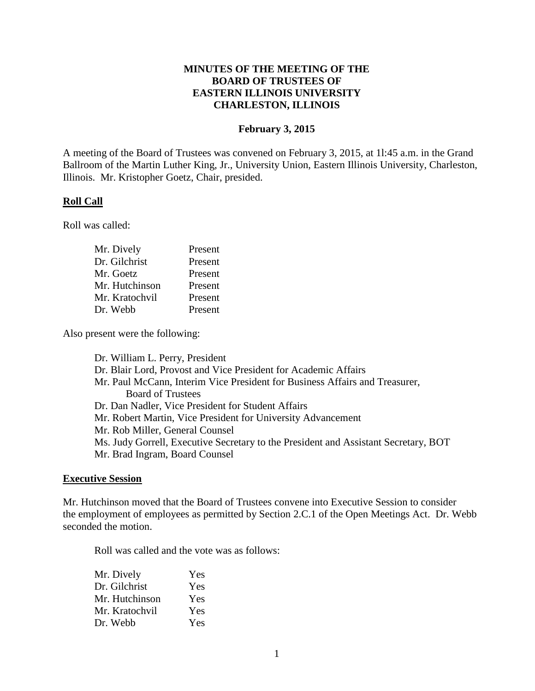# **MINUTES OF THE MEETING OF THE BOARD OF TRUSTEES OF EASTERN ILLINOIS UNIVERSITY CHARLESTON, ILLINOIS**

### **February 3, 2015**

A meeting of the Board of Trustees was convened on February 3, 2015, at 1l:45 a.m. in the Grand Ballroom of the Martin Luther King, Jr., University Union, Eastern Illinois University, Charleston, Illinois. Mr. Kristopher Goetz, Chair, presided.

### **Roll Call**

Roll was called:

| Mr. Dively     | Present |
|----------------|---------|
| Dr. Gilchrist  | Present |
| Mr. Goetz      | Present |
| Mr. Hutchinson | Present |
| Mr. Kratochvil | Present |
| Dr. Webb       | Present |

Also present were the following:

Dr. William L. Perry, President Dr. Blair Lord, Provost and Vice President for Academic Affairs Mr. Paul McCann, Interim Vice President for Business Affairs and Treasurer, Board of Trustees Dr. Dan Nadler, Vice President for Student Affairs Mr. Robert Martin, Vice President for University Advancement Mr. Rob Miller, General Counsel Ms. Judy Gorrell, Executive Secretary to the President and Assistant Secretary, BOT Mr. Brad Ingram, Board Counsel

#### **Executive Session**

Mr. Hutchinson moved that the Board of Trustees convene into Executive Session to consider the employment of employees as permitted by Section 2.C.1 of the Open Meetings Act. Dr. Webb seconded the motion.

Roll was called and the vote was as follows:

| Mr. Dively     | Yes |  |
|----------------|-----|--|
| Dr. Gilchrist  | Yes |  |
| Mr. Hutchinson | Yes |  |
| Mr. Kratochvil | Yes |  |
| Dr. Webb       | Yes |  |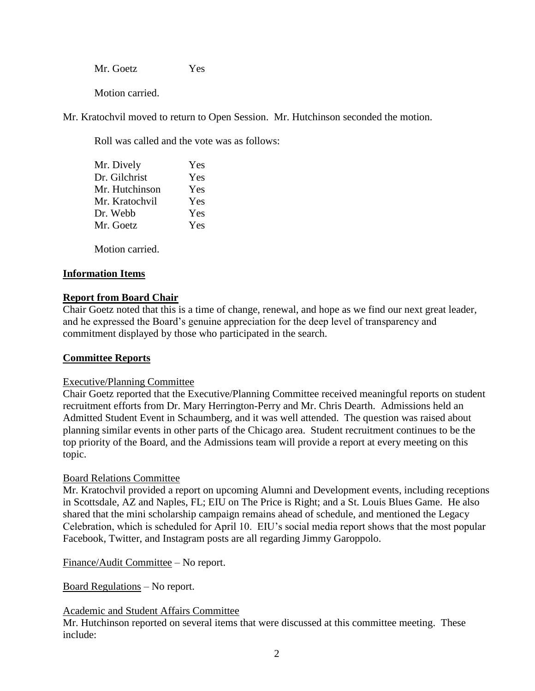Mr. Goetz Yes

Motion carried.

Mr. Kratochvil moved to return to Open Session. Mr. Hutchinson seconded the motion.

Roll was called and the vote was as follows:

| Mr. Dively     | Yes |  |
|----------------|-----|--|
| Dr. Gilchrist  | Yes |  |
| Mr. Hutchinson | Yes |  |
| Mr. Kratochvil | Yes |  |
| Dr. Webb       | Yes |  |
| Mr. Goetz      | Yes |  |
|                |     |  |

Motion carried.

# **Information Items**

# **Report from Board Chair**

Chair Goetz noted that this is a time of change, renewal, and hope as we find our next great leader, and he expressed the Board's genuine appreciation for the deep level of transparency and commitment displayed by those who participated in the search.

## **Committee Reports**

## Executive/Planning Committee

Chair Goetz reported that the Executive/Planning Committee received meaningful reports on student recruitment efforts from Dr. Mary Herrington-Perry and Mr. Chris Dearth. Admissions held an Admitted Student Event in Schaumberg, and it was well attended. The question was raised about planning similar events in other parts of the Chicago area. Student recruitment continues to be the top priority of the Board, and the Admissions team will provide a report at every meeting on this topic.

## Board Relations Committee

Mr. Kratochvil provided a report on upcoming Alumni and Development events, including receptions in Scottsdale, AZ and Naples, FL; EIU on The Price is Right; and a St. Louis Blues Game. He also shared that the mini scholarship campaign remains ahead of schedule, and mentioned the Legacy Celebration, which is scheduled for April 10. EIU's social media report shows that the most popular Facebook, Twitter, and Instagram posts are all regarding Jimmy Garoppolo.

Finance/Audit Committee – No report.

Board Regulations – No report.

## Academic and Student Affairs Committee

Mr. Hutchinson reported on several items that were discussed at this committee meeting. These include: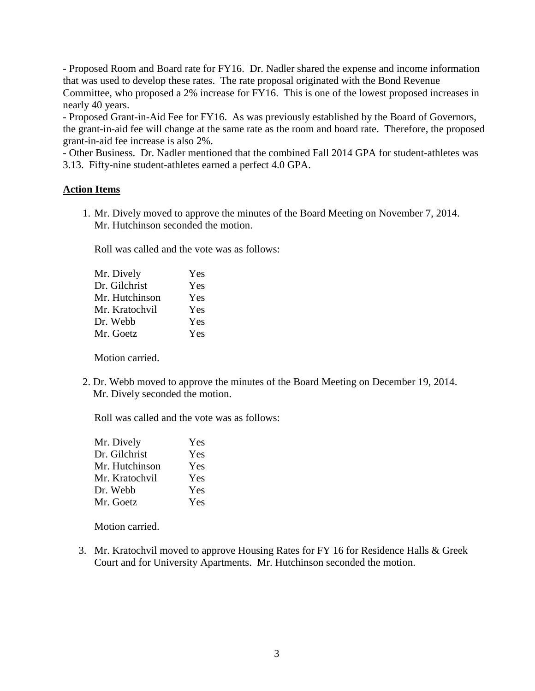- Proposed Room and Board rate for FY16. Dr. Nadler shared the expense and income information that was used to develop these rates. The rate proposal originated with the Bond Revenue Committee, who proposed a 2% increase for FY16. This is one of the lowest proposed increases in nearly 40 years.

- Proposed Grant-in-Aid Fee for FY16. As was previously established by the Board of Governors, the grant-in-aid fee will change at the same rate as the room and board rate. Therefore, the proposed grant-in-aid fee increase is also 2%.

- Other Business. Dr. Nadler mentioned that the combined Fall 2014 GPA for student-athletes was 3.13. Fifty-nine student-athletes earned a perfect 4.0 GPA.

# **Action Items**

1. Mr. Dively moved to approve the minutes of the Board Meeting on November 7, 2014. Mr. Hutchinson seconded the motion.

Roll was called and the vote was as follows:

| Mr. Dively     | Yes |
|----------------|-----|
| Dr. Gilchrist  | Yes |
| Mr. Hutchinson | Yes |
| Mr. Kratochvil | Yes |
| Dr. Webb       | Yes |
| Mr. Goetz      | Yes |
|                |     |

Motion carried.

2. Dr. Webb moved to approve the minutes of the Board Meeting on December 19, 2014. Mr. Dively seconded the motion.

Roll was called and the vote was as follows:

| Mr. Dively     | Yes |  |
|----------------|-----|--|
| Dr. Gilchrist  | Yes |  |
| Mr. Hutchinson | Yes |  |
| Mr. Kratochvil | Yes |  |
| Dr. Webb       | Yes |  |
| Mr. Goetz      | Yes |  |

Motion carried.

3. Mr. Kratochvil moved to approve Housing Rates for FY 16 for Residence Halls & Greek Court and for University Apartments. Mr. Hutchinson seconded the motion.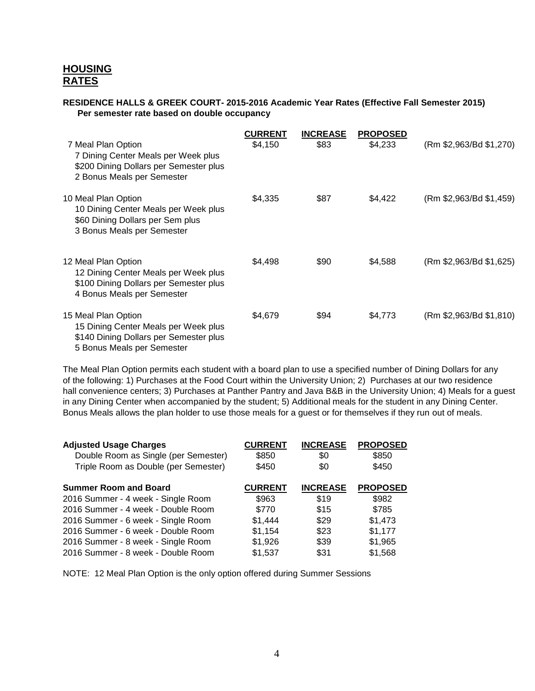# **HOUSING RATES**

### **RESIDENCE HALLS & GREEK COURT- 2015-2016 Academic Year Rates (Effective Fall Semester 2015) Per semester rate based on double occupancy**

| 7 Meal Plan Option<br>7 Dining Center Meals per Week plus<br>\$200 Dining Dollars per Semester plus<br>2 Bonus Meals per Semester   | <b>CURRENT</b><br>\$4,150 | <b>INCREASE</b><br>\$83 | <b>PROPOSED</b><br>\$4,233 | (Rm \$2,963/Bd \$1,270) |
|-------------------------------------------------------------------------------------------------------------------------------------|---------------------------|-------------------------|----------------------------|-------------------------|
| 10 Meal Plan Option<br>10 Dining Center Meals per Week plus<br>\$60 Dining Dollars per Sem plus<br>3 Bonus Meals per Semester       | \$4,335                   | \$87                    | \$4,422                    | (Rm \$2,963/Bd \$1,459) |
| 12 Meal Plan Option<br>12 Dining Center Meals per Week plus<br>\$100 Dining Dollars per Semester plus<br>4 Bonus Meals per Semester | \$4,498                   | \$90                    | \$4,588                    | (Rm \$2,963/Bd \$1,625) |
| 15 Meal Plan Option<br>15 Dining Center Meals per Week plus<br>\$140 Dining Dollars per Semester plus<br>5 Bonus Meals per Semester | \$4,679                   | \$94                    | \$4,773                    | (Rm \$2,963/Bd \$1,810) |

The Meal Plan Option permits each student with a board plan to use a specified number of Dining Dollars for any of the following: 1) Purchases at the Food Court within the University Union; 2) Purchases at our two residence hall convenience centers; 3) Purchases at Panther Pantry and Java B&B in the University Union; 4) Meals for a guest in any Dining Center when accompanied by the student; 5) Additional meals for the student in any Dining Center. Bonus Meals allows the plan holder to use those meals for a guest or for themselves if they run out of meals.

| <b>CURRENT</b> | <b>INCREASE</b> | <b>PROPOSED</b> |
|----------------|-----------------|-----------------|
| \$850          | \$0             | \$850           |
| \$450          | \$0             | \$450           |
| <b>CURRENT</b> | <b>INCREASE</b> | <b>PROPOSED</b> |
| \$963          | \$19            | \$982           |
| \$770          | \$15            | \$785           |
| \$1,444        | \$29            | \$1,473         |
| \$1,154        | \$23            | \$1,177         |
| \$1,926        | \$39            | \$1,965         |
| \$1,537        | \$31            | \$1,568         |
|                |                 |                 |

NOTE: 12 Meal Plan Option is the only option offered during Summer Sessions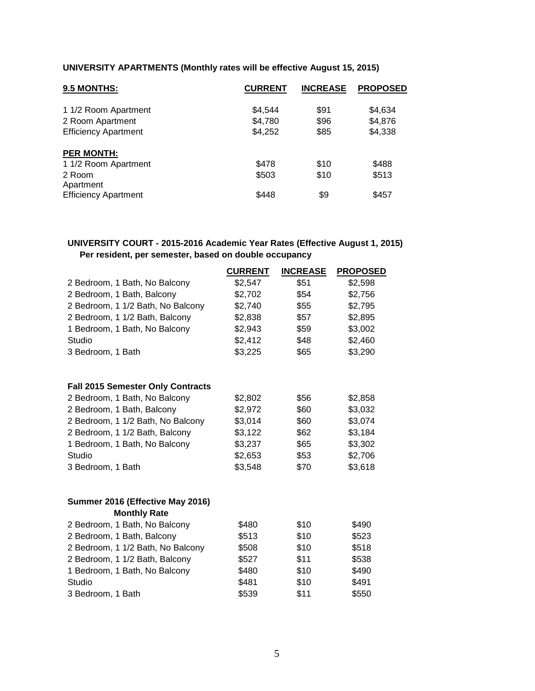# **UNIVERSITY APARTMENTS (Monthly rates will be effective August 15, 2015)**

| 9.5 MONTHS:                 | <b>CURRENT</b> | <b>INCREASE</b> | <b>PROPOSED</b> |
|-----------------------------|----------------|-----------------|-----------------|
| 1 1/2 Room Apartment        | \$4,544        | \$91            | \$4,634         |
| 2 Room Apartment            | \$4,780        | \$96            | \$4,876         |
| <b>Efficiency Apartment</b> | \$4,252        | \$85            | \$4,338         |
| <b>PER MONTH:</b>           |                |                 |                 |
| 1 1/2 Room Apartment        | \$478          | \$10            | \$488           |
| 2 Room<br>Apartment         | \$503          | \$10            | \$513           |
| <b>Efficiency Apartment</b> | \$448          | \$9             | \$457           |

# **UNIVERSITY COURT - 2015-2016 Academic Year Rates (Effective August 1, 2015) Per resident, per semester, based on double occupancy**

|                                          | <b>CURRENT</b> | <b>INCREASE</b> | <b>PROPOSED</b> |
|------------------------------------------|----------------|-----------------|-----------------|
| 2 Bedroom, 1 Bath, No Balcony            | \$2,547        | \$51            | \$2,598         |
| 2 Bedroom, 1 Bath, Balcony               | \$2,702        | \$54            | \$2,756         |
| 2 Bedroom, 1 1/2 Bath, No Balcony        | \$2,740        | \$55            | \$2,795         |
| 2 Bedroom, 1 1/2 Bath, Balcony           | \$2,838        | \$57            | \$2,895         |
| 1 Bedroom, 1 Bath, No Balcony            | \$2,943        | \$59            | \$3,002         |
| Studio                                   | \$2,412        | \$48            | \$2,460         |
| 3 Bedroom, 1 Bath                        | \$3,225        | \$65            | \$3,290         |
| <b>Fall 2015 Semester Only Contracts</b> |                |                 |                 |
| 2 Bedroom, 1 Bath, No Balcony            | \$2,802        | \$56            | \$2,858         |
| 2 Bedroom, 1 Bath, Balcony               | \$2,972        | \$60            | \$3,032         |
| 2 Bedroom, 1 1/2 Bath, No Balcony        | \$3,014        | \$60            | \$3,074         |
| 2 Bedroom, 1 1/2 Bath, Balcony           | \$3,122        | \$62            | \$3,184         |
| 1 Bedroom, 1 Bath, No Balcony            | \$3,237        | \$65            | \$3,302         |
| Studio                                   | \$2,653        | \$53            | \$2,706         |
| 3 Bedroom, 1 Bath                        | \$3,548        | \$70            | \$3,618         |
| Summer 2016 (Effective May 2016)         |                |                 |                 |
| <b>Monthly Rate</b>                      |                |                 |                 |
| 2 Bedroom, 1 Bath, No Balcony            | \$480          | \$10            | \$490           |
| 2 Bedroom, 1 Bath, Balcony               | \$513          | \$10            | \$523           |
| 2 Bedroom, 1 1/2 Bath, No Balcony        | \$508          | \$10            | \$518           |
| 2 Bedroom, 1 1/2 Bath, Balcony           | \$527          | \$11            | \$538           |
| 1 Bedroom, 1 Bath, No Balcony            | \$480          | \$10            | \$490           |
| Studio                                   | \$481          | \$10            | \$491           |
| 3 Bedroom, 1 Bath                        | \$539          | \$11            | \$550           |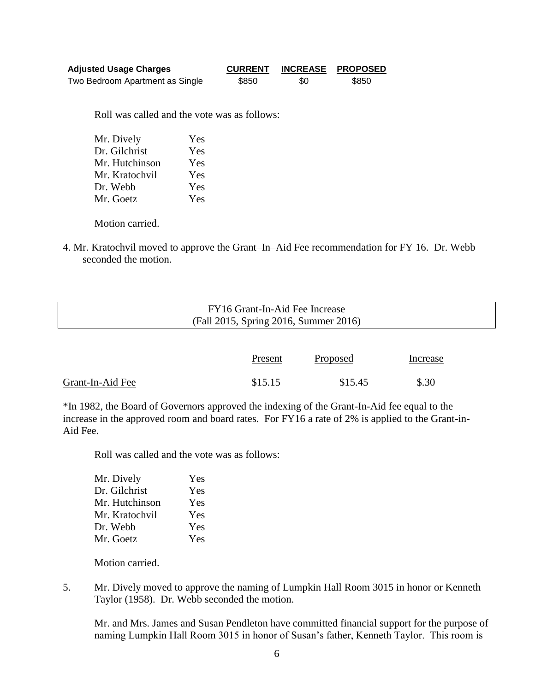| <b>Adjusted Usage Charges</b>   | <b>CURRENT</b> |     | INCREASE PROPOSED |
|---------------------------------|----------------|-----|-------------------|
| Two Bedroom Apartment as Single | \$850          | \$0 | \$850             |

Roll was called and the vote was as follows:

| Mr. Dively     | Yes |
|----------------|-----|
| Dr. Gilchrist  | Yes |
| Mr. Hutchinson | Yes |
| Mr. Kratochvil | Yes |
| Dr. Webb       | Yes |
| Mr. Goetz      | Yes |
|                |     |

Motion carried.

4. Mr. Kratochvil moved to approve the Grant–In–Aid Fee recommendation for FY 16. Dr. Webb seconded the motion.

| FY16 Grant-In-Aid Fee Increase<br>(Fall 2015, Spring 2016, Summer 2016) |  |
|-------------------------------------------------------------------------|--|
|                                                                         |  |

|                  | Present | <b>Proposed</b> | Increase |
|------------------|---------|-----------------|----------|
| Grant-In-Aid Fee | \$15.15 | \$15.45         | \$.30    |

\*In 1982, the Board of Governors approved the indexing of the Grant-In-Aid fee equal to the increase in the approved room and board rates. For FY16 a rate of 2% is applied to the Grant-in-Aid Fee.

Roll was called and the vote was as follows:

| Yes |
|-----|
| Yes |
| Yes |
| Yes |
| Yes |
| Yes |
|     |

Motion carried.

5. Mr. Dively moved to approve the naming of Lumpkin Hall Room 3015 in honor or Kenneth Taylor (1958). Dr. Webb seconded the motion.

Mr. and Mrs. James and Susan Pendleton have committed financial support for the purpose of naming Lumpkin Hall Room 3015 in honor of Susan's father, Kenneth Taylor. This room is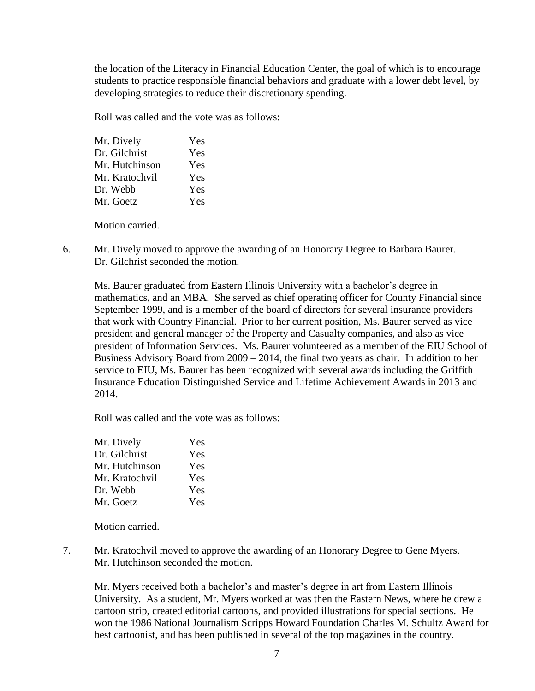the location of the Literacy in Financial Education Center, the goal of which is to encourage students to practice responsible financial behaviors and graduate with a lower debt level, by developing strategies to reduce their discretionary spending.

Roll was called and the vote was as follows:

| Mr. Dively     | Yes |
|----------------|-----|
| Dr. Gilchrist  | Yes |
| Mr. Hutchinson | Yes |
| Mr. Kratochvil | Yes |
| Dr. Webb       | Yes |
| Mr. Goetz      | Yes |
|                |     |

Motion carried.

6. Mr. Dively moved to approve the awarding of an Honorary Degree to Barbara Baurer. Dr. Gilchrist seconded the motion.

Ms. Baurer graduated from Eastern Illinois University with a bachelor's degree in mathematics, and an MBA. She served as chief operating officer for County Financial since September 1999, and is a member of the board of directors for several insurance providers that work with Country Financial. Prior to her current position, Ms. Baurer served as vice president and general manager of the Property and Casualty companies, and also as vice president of Information Services. Ms. Baurer volunteered as a member of the EIU School of Business Advisory Board from 2009 – 2014, the final two years as chair. In addition to her service to EIU, Ms. Baurer has been recognized with several awards including the Griffith Insurance Education Distinguished Service and Lifetime Achievement Awards in 2013 and 2014.

Roll was called and the vote was as follows:

| Mr. Dively     | Yes |  |
|----------------|-----|--|
| Dr. Gilchrist  | Yes |  |
| Mr. Hutchinson | Yes |  |
| Mr. Kratochvil | Yes |  |
| Dr. Webb       | Yes |  |
| Mr. Goetz      | Yes |  |

Motion carried.

7. Mr. Kratochvil moved to approve the awarding of an Honorary Degree to Gene Myers. Mr. Hutchinson seconded the motion.

Mr. Myers received both a bachelor's and master's degree in art from Eastern Illinois University. As a student, Mr. Myers worked at was then the Eastern News, where he drew a cartoon strip, created editorial cartoons, and provided illustrations for special sections. He won the 1986 National Journalism Scripps Howard Foundation Charles M. Schultz Award for best cartoonist, and has been published in several of the top magazines in the country.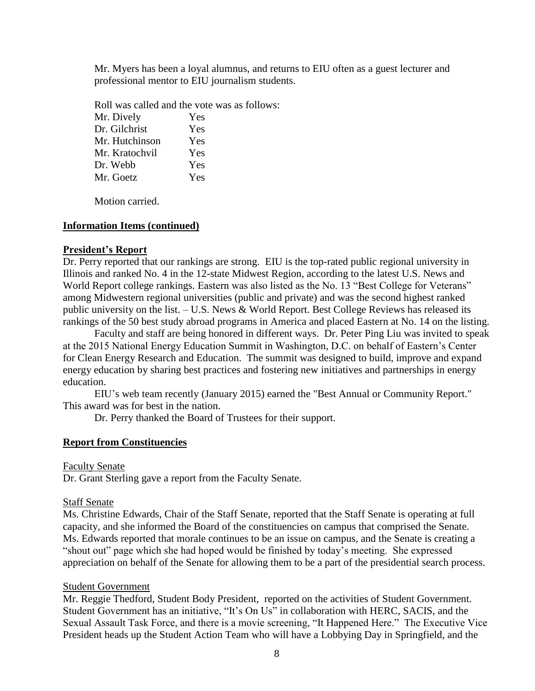Mr. Myers has been a loyal alumnus, and returns to EIU often as a guest lecturer and professional mentor to EIU journalism students.

Roll was called and the vote was as follows: Mr. Dively Yes Dr. Gilchrist Yes Mr. Hutchinson Yes Mr. Kratochvil Yes Dr. Webb Yes Mr. Goetz Yes

Motion carried.

### **Information Items (continued)**

### **President's Report**

Dr. Perry reported that our rankings are strong. EIU is the top-rated public regional university in Illinois and ranked No. 4 in the 12-state Midwest Region, according to the latest U.S. News and World Report college rankings. Eastern was also listed as the No. 13 "Best College for Veterans" among Midwestern regional universities (public and private) and was the second highest ranked public university on the list. – U.S. News & World Report. Best College Reviews has released its rankings of the 50 best study abroad programs in America and placed Eastern at No. 14 on the listing.

Faculty and staff are being honored in different ways. Dr. Peter Ping Liu was invited to speak at the 2015 National Energy Education Summit in Washington, D.C. on behalf of Eastern's Center for Clean Energy Research and Education. The summit was designed to build, improve and expand energy education by sharing best practices and fostering new initiatives and partnerships in energy education.

EIU's web team recently (January 2015) earned the "Best Annual or Community Report." This award was for best in the nation.

Dr. Perry thanked the Board of Trustees for their support.

### **Report from Constituencies**

Faculty Senate

Dr. Grant Sterling gave a report from the Faculty Senate.

### Staff Senate

Ms. Christine Edwards, Chair of the Staff Senate, reported that the Staff Senate is operating at full capacity, and she informed the Board of the constituencies on campus that comprised the Senate. Ms. Edwards reported that morale continues to be an issue on campus, and the Senate is creating a "shout out" page which she had hoped would be finished by today's meeting. She expressed appreciation on behalf of the Senate for allowing them to be a part of the presidential search process.

### Student Government

Mr. Reggie Thedford, Student Body President, reported on the activities of Student Government. Student Government has an initiative, "It's On Us" in collaboration with HERC, SACIS, and the Sexual Assault Task Force, and there is a movie screening, "It Happened Here." The Executive Vice President heads up the Student Action Team who will have a Lobbying Day in Springfield, and the